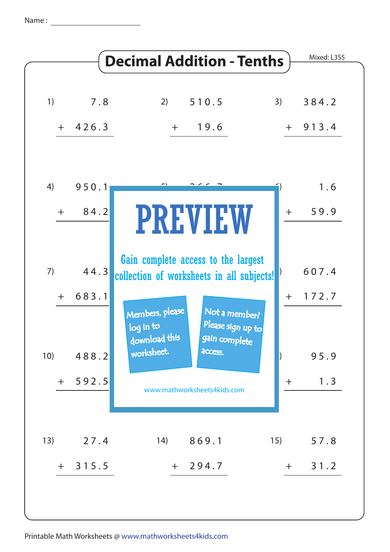